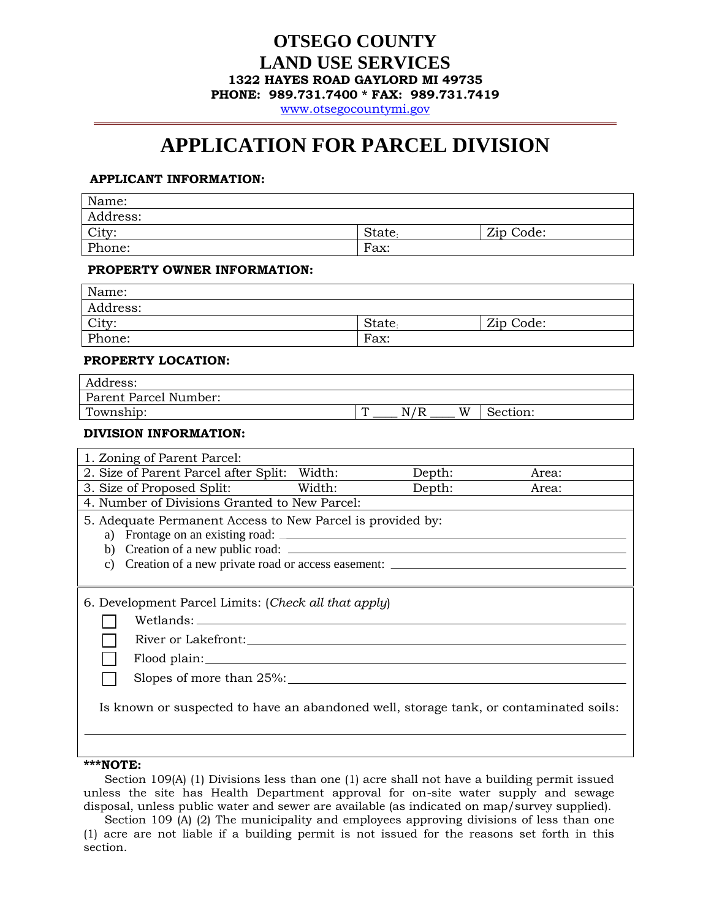# **OTSEGO COUNTY LAND USE SERVICES 1322 HAYES ROAD GAYLORD MI 49735**

**PHONE: 989.731.7400 \* FAX: 989.731.7419** 

[www.otsegocountymi.gov](http://www.otsegocountymi.gov/)

# **APPLICATION FOR PARCEL DIVISION**

## **APPLICANT INFORMATION:**

| Name:    |                    |           |
|----------|--------------------|-----------|
| Address: |                    |           |
| City·    | State <sub>:</sub> | Zip Code: |
| Phone:   | Fax:               |           |

#### **PROPERTY OWNER INFORMATION:**

| Name:    |                    |           |
|----------|--------------------|-----------|
| Address: |                    |           |
| City:    | State <sub>1</sub> | Zip Code: |
| Phone:   | Fax:               |           |

## **PROPERTY LOCATION:**

| Address:              |   |           |   |          |
|-----------------------|---|-----------|---|----------|
| Parent Parcel Number: |   |           |   |          |
| Township:             | Ţ | N/R<br>17 | W | Section: |

### **DIVISION INFORMATION:**

| 1. Zoning of Parent Parcel:                                                           |  |        |       |  |
|---------------------------------------------------------------------------------------|--|--------|-------|--|
| 2. Size of Parent Parcel after Split: Width:                                          |  | Depth: | Area: |  |
| 3. Size of Proposed Split: Width:                                                     |  | Depth: | Area: |  |
| 4. Number of Divisions Granted to New Parcel:                                         |  |        |       |  |
| 5. Adequate Permanent Access to New Parcel is provided by:                            |  |        |       |  |
|                                                                                       |  |        |       |  |
|                                                                                       |  |        |       |  |
| c) Creation of a new private road or access easement:                                 |  |        |       |  |
|                                                                                       |  |        |       |  |
| 6. Development Parcel Limits: (Check all that apply)                                  |  |        |       |  |
|                                                                                       |  |        |       |  |
|                                                                                       |  |        |       |  |
| Flood plain:                                                                          |  |        |       |  |
| Slopes of more than 25%:                                                              |  |        |       |  |
| Is known or suspected to have an abandoned well, storage tank, or contaminated soils: |  |        |       |  |

### **\*\*\*NOTE:**

Section 109(A) (1) Divisions less than one (1) acre shall not have a building permit issued unless the site has Health Department approval for on-site water supply and sewage disposal, unless public water and sewer are available (as indicated on map/survey supplied).

 Section 109 (A) (2) The municipality and employees approving divisions of less than one (1) acre are not liable if a building permit is not issued for the reasons set forth in this section.